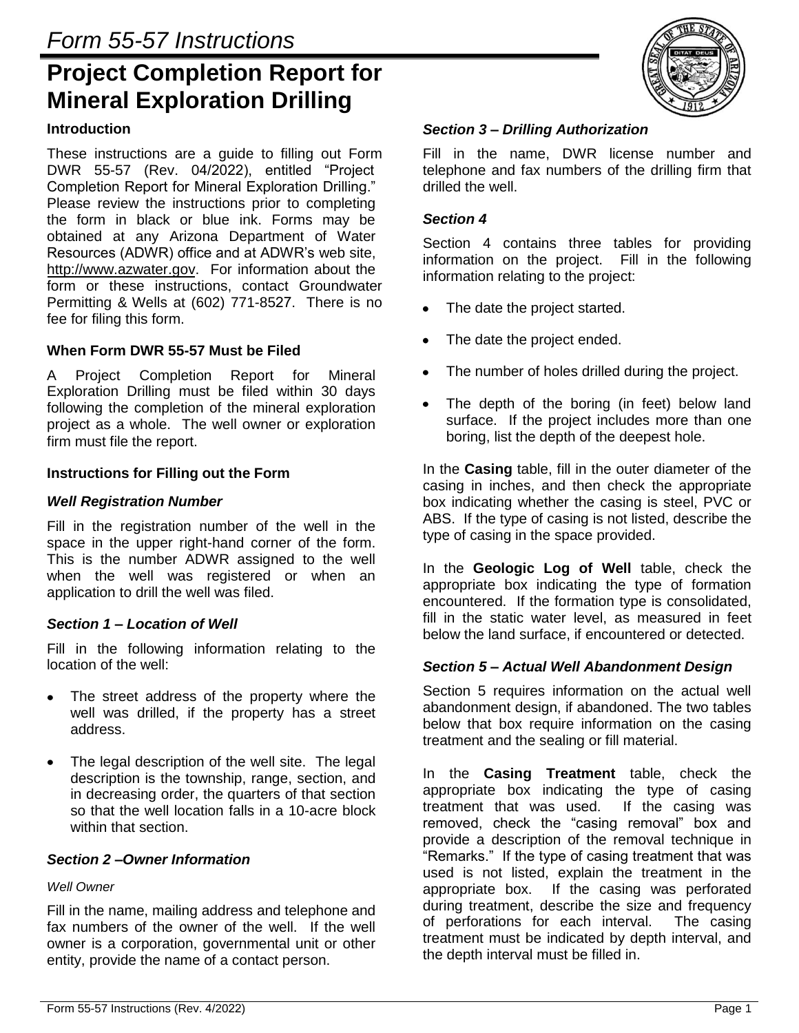# **Project Completion Report for Mineral Exploration Drilling**

## **Introduction**

These instructions are a guide to filling out Form DWR 55-57 (Rev. 04/2022), entitled "Project Completion Report for Mineral Exploration Drilling." Please review the instructions prior to completing the form in black or blue ink. Forms may be obtained at any Arizona Department of Water Resources (ADWR) office and at ADWR's web site, http://www.azwater.gov. For information about the form or these instructions, contact Groundwater Permitting & Wells at (602) 771-8527. There is no fee for filing this form.

## **When Form DWR 55-57 Must be Filed**

A Project Completion Report for Mineral Exploration Drilling must be filed within 30 days following the completion of the mineral exploration project as a whole. The well owner or exploration firm must file the report.

## **Instructions for Filling out the Form**

## *Well Registration Number*

Fill in the registration number of the well in the space in the upper right-hand corner of the form. This is the number ADWR assigned to the well when the well was registered or when an application to drill the well was filed.

## *Section 1 – Location of Well*

Fill in the following information relating to the location of the well:

- The street address of the property where the  $\bullet$ well was drilled, if the property has a street address.
- The legal description of the well site. The legal description is the township, range, section, and in decreasing order, the quarters of that section so that the well location falls in a 10-acre block within that section.

## *Section 2 –Owner Information*

## *Well Owner*

Fill in the name, mailing address and telephone and fax numbers of the owner of the well. If the well owner is a corporation, governmental unit or other entity, provide the name of a contact person.



## *Section 3 – Drilling Authorization*

Fill in the name, DWR license number and telephone and fax numbers of the drilling firm that drilled the well.

#### *Section 4*

Section 4 contains three tables for providing information on the project. Fill in the following information relating to the project:

- The date the project started.
- $\bullet$ The date the project ended.
- The number of holes drilled during the project.
- The depth of the boring (in feet) below land surface. If the project includes more than one boring, list the depth of the deepest hole.

In the **Casing** table, fill in the outer diameter of the casing in inches, and then check the appropriate box indicating whether the casing is steel, PVC or ABS. If the type of casing is not listed, describe the type of casing in the space provided.

In the **Geologic Log of Well** table, check the appropriate box indicating the type of formation encountered. If the formation type is consolidated, fill in the static water level, as measured in feet below the land surface, if encountered or detected.

#### *Section 5 – Actual Well Abandonment Design*

Section 5 requires information on the actual well abandonment design, if abandoned. The two tables below that box require information on the casing treatment and the sealing or fill material.

In the **Casing Treatment** table, check the appropriate box indicating the type of casing treatment that was used. If the casing was removed, check the "casing removal" box and provide a description of the removal technique in "Remarks." If the type of casing treatment that was used is not listed, explain the treatment in the appropriate box. If the casing was perforated during treatment, describe the size and frequency of perforations for each interval.The casing treatment must be indicated by depth interval, and the depth interval must be filled in.